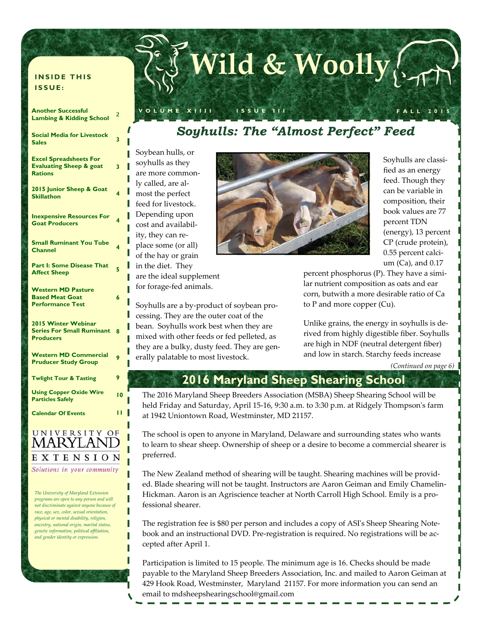# **Wild & Woolly**

#### **INSIDE THIS ISSUE:**

#### **Another Successful Lambing & Kidding School <sup>2</sup> Social Media for Livestock**  Sales **Sales 3 Excel Spreadsheets For Evaluating Sheep & goat Rations 3 2015 Junior Sheep & Goat Skillathon <sup>4</sup> Inexpensive Resources For Goat Producers <sup>4</sup> Small Ruminant You Tube Channel <sup>4</sup> Part I: Some Disease That Affect Sheep Western MD Pasture Based Meat Goat Performance Test 6 2015 Winter Webinar Series For Small Ruminant 8 Producers Western MD Commercial Pruducer Study Group 30 Serve 30 Serve 30 Serve 30 Serve 30 Serve 30 Serve 30 Serve 30 Serve 30 Serve 30 Serve 30 Serve 30 Serve 30 Serve 30 Serve 30 Serve 30 Serve 30 Serve 30 Serve 30 Serve 30 Serve 30 Serve 30 Serve 30 Twlight Tour & Tasting 9 Using Copper Oxide Wire Particles Safely <sup>10</sup> Calendar Of Events 11**

#### UNIVERSITY OF **MARYLAND** EXTENSION Solutions in your community

*The University of Maryland Extension programs are open to any person and will not discriminate against anyone because of race, age, sex, color, sexual orientation, physical or mental disability, religion, ancestry, national origin, marital status, genetic information, political affiliation, and gender identity or expression.* 

### *Soyhulls: The "Almost Perfect" Feed*

**VOLUME XIIII ISSUE III FALL 2015** 

Soybean hulls, or soyhulls as they are more commonly called, are almost the perfect feed for livestock. Depending upon cost and availability, they can replace some (or all) of the hay or grain in the diet. They are the ideal supplement for forage-fed animals.

II II

П

Soyhulls are a by-product of soybean processing. They are the outer coat of the bean. Soyhulls work best when they are mixed with other feeds or fed pelleted, as they are a bulky, dusty feed. They are generally palatable to most livestock.



Soyhulls are classified as an energy feed. Though they can be variable in composition, their book values are 77 percent TDN (energy), 13 percent CP (crude protein), 0.55 percent calcium (Ca), and 0.17

percent phosphorus (P). They have a similar nutrient composition as oats and ear corn, butwith a more desirable ratio of Ca to P and more copper (Cu).

Unlike grains, the energy in soyhulls is derived from highly digestible fiber. Soyhulls are high in NDF (neutral detergent fiber) and low in starch. Starchy feeds increase

*(Continued on page 6)* 

### **2016 Maryland Sheep Shearing School**

The 2016 Maryland Sheep Breeders Association (MSBA) Sheep Shearing School will be held Friday and Saturday, April 15-16, 9:30 a.m. to 3:30 p.m. at Ridgely Thompson's farm at 1942 Uniontown Road, Westminster, MD 21157.

The school is open to anyone in Maryland, Delaware and surrounding states who wants to learn to shear sheep. Ownership of sheep or a desire to become a commercial shearer is preferred.

The New Zealand method of shearing will be taught. Shearing machines will be provided. Blade shearing will not be taught. Instructors are Aaron Geiman and Emily Chamelin-Hickman. Aaron is an Agriscience teacher at North Carroll High School. Emily is a professional shearer.

The registration fee is \$80 per person and includes a copy of ASIʹs Sheep Shearing Notebook and an instructional DVD. Pre-registration is required. No registrations will be accepted after April 1.

Participation is limited to 15 people. The minimum age is 16. Checks should be made payable to the Maryland Sheep Breeders Association, Inc. and mailed to Aaron Geiman at 429 Hook Road, Westminster, Maryland 21157. For more information you can send an email to mdsheepshearingschool@gmail.com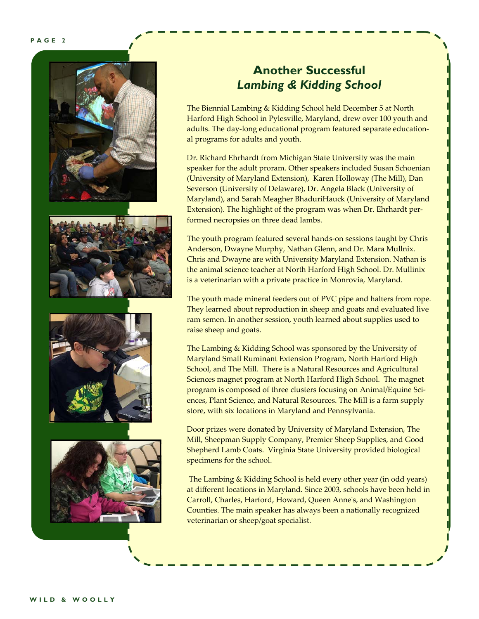

### **Another Successful**  *Lambing & Kidding School*

The Biennial Lambing & Kidding School held December 5 at North Harford High School in Pylesville, Maryland, drew over 100 youth and adults. The day-long educational program featured separate educational programs for adults and youth.

Dr. Richard Ehrhardt from Michigan State University was the main speaker for the adult proram. Other speakers included Susan Schoenian (University of Maryland Extension), Karen Holloway (The Mill), Dan Severson (University of Delaware), Dr. Angela Black (University of Maryland), and Sarah Meagher BhaduriHauck (University of Maryland Extension). The highlight of the program was when Dr. Ehrhardt performed necropsies on three dead lambs.

The youth program featured several hands-on sessions taught by Chris Anderson, Dwayne Murphy, Nathan Glenn, and Dr. Mara Mullnix. Chris and Dwayne are with University Maryland Extension. Nathan is the animal science teacher at North Harford High School. Dr. Mullinix is a veterinarian with a private practice in Monrovia, Maryland.

The youth made mineral feeders out of PVC pipe and halters from rope. They learned about reproduction in sheep and goats and evaluated live ram semen. In another session, youth learned about supplies used to raise sheep and goats.

The Lambing & Kidding School was sponsored by the University of Maryland Small Ruminant Extension Program, North Harford High School, and The Mill. There is a Natural Resources and Agricultural Sciences magnet program at North Harford High School. The magnet program is composed of three clusters focusing on Animal/Equine Sciences, Plant Science, and Natural Resources. The Mill is a farm supply store, with six locations in Maryland and Pennsylvania.

Door prizes were donated by University of Maryland Extension, The Mill, Sheepman Supply Company, Premier Sheep Supplies, and Good Shepherd Lamb Coats. Virginia State University provided biological specimens for the school.

 The Lambing & Kidding School is held every other year (in odd years) at different locations in Maryland. Since 2003, schools have been held in Carroll, Charles, Harford, Howard, Queen Anneʹs, and Washington Counties. The main speaker has always been a nationally recognized veterinarian or sheep/goat specialist.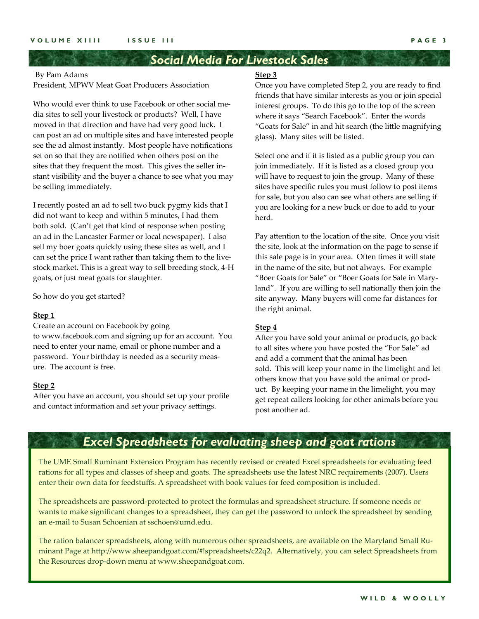### *Social Media For Livestock Sales*

#### By Pam Adams

President, MPWV Meat Goat Producers Association

Who would ever think to use Facebook or other social media sites to sell your livestock or products? Well, I have moved in that direction and have had very good luck. I can post an ad on multiple sites and have interested people see the ad almost instantly. Most people have notifications set on so that they are notified when others post on the sites that they frequent the most. This gives the seller instant visibility and the buyer a chance to see what you may be selling immediately.

I recently posted an ad to sell two buck pygmy kids that I did not want to keep and within 5 minutes, I had them both sold. (Can't get that kind of response when posting an ad in the Lancaster Farmer or local newspaper). I also sell my boer goats quickly using these sites as well, and I can set the price I want rather than taking them to the livestock market. This is a great way to sell breeding stock, 4-H goats, or just meat goats for slaughter.

So how do you get started?

#### **Step 1**

Create an account on Facebook by going to www.facebook.com and signing up for an account. You need to enter your name, email or phone number and a password. Your birthday is needed as a security measure. The account is free.

#### **Step 2**

After you have an account, you should set up your profile and contact information and set your privacy settings.

#### **Step 3**

Once you have completed Step 2, you are ready to find friends that have similar interests as you or join special interest groups. To do this go to the top of the screen where it says "Search Facebook". Enter the words "Goats for Sale" in and hit search (the little magnifying glass). Many sites will be listed.

Select one and if it is listed as a public group you can join immediately. If it is listed as a closed group you will have to request to join the group. Many of these sites have specific rules you must follow to post items for sale, but you also can see what others are selling if you are looking for a new buck or doe to add to your herd.

Pay attention to the location of the site. Once you visit the site, look at the information on the page to sense if this sale page is in your area. Often times it will state in the name of the site, but not always. For example "Boer Goats for Sale" or "Boer Goats for Sale in Maryland". If you are willing to sell nationally then join the site anyway. Many buyers will come far distances for the right animal.

#### **Step 4**

After you have sold your animal or products, go back to all sites where you have posted the "For Sale" ad and add a comment that the animal has been sold. This will keep your name in the limelight and let others know that you have sold the animal or product. By keeping your name in the limelight, you may get repeat callers looking for other animals before you post another ad.

### *Excel Spreadsheets for evaluating sheep and goat rations*

The UME Small Ruminant Extension Program has recently revised or created Excel spreadsheets for evaluating feed rations for all types and classes of sheep and goats. The spreadsheets use the latest NRC requirements (2007). Users enter their own data for feedstuffs. A spreadsheet with book values for feed composition is included.

The spreadsheets are password-protected to protect the formulas and spreadsheet structure. If someone needs or wants to make significant changes to a spreadsheet, they can get the password to unlock the spreadsheet by sending an e-mail to Susan Schoenian at sschoen@umd.edu.

The ration balancer spreadsheets, along with numerous other spreadsheets, are available on the Maryland Small Ruminant Page at http://www.sheepandgoat.com/#!spreadsheets/c22q2. Alternatively, you can select Spreadsheets from the Resources drop-down menu at www.sheepandgoat.com.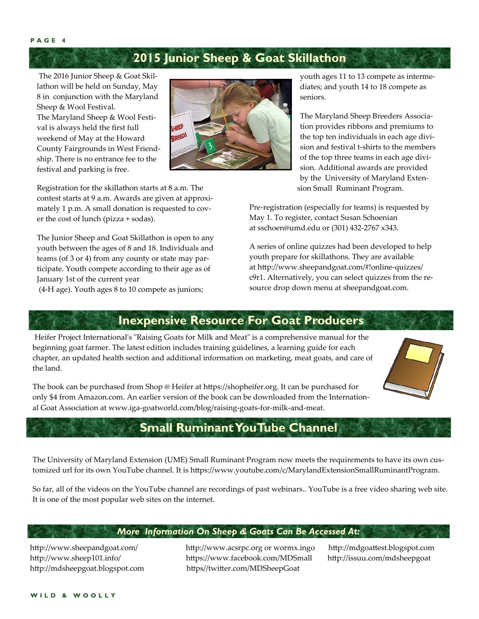**PAGE 4** 

### **2015 Junior Sheep & Goat Skillathon**

 The 2016 Junior Sheep & Goat Skillathon will be held on Sunday, May 8 in conjunction with the Maryland Sheep & Wool Festival. The Maryland Sheep & Wool Festival is always held the first full weekend of May at the Howard County Fairgrounds in West Friendship. There is no entrance fee to the festival and parking is free.



Registration for the skillathon starts at 8 a.m. The contest starts at 9 a.m. Awards are given at approximately 1 p.m. A small donation is requested to cover the cost of lunch (pizza + sodas).

The Junior Sheep and Goat Skillathon is open to any youth between the ages of 8 and 18. Individuals and teams (of 3 or 4) from any county or state may participate. Youth compete according to their age as of January 1st of the current year

(4-H age). Youth ages 8 to 10 compete as juniors;

youth ages 11 to 13 compete as intermediates; and youth 14 to 18 compete as seniors.

The Maryland Sheep Breeders Association provides ribbons and premiums to the top ten individuals in each age division and festival t-shirts to the members of the top three teams in each age division. Additional awards are provided by the University of Maryland Exten sion Small Ruminant Program.

Pre-registration (especially for teams) is requested by May 1. To register, contact Susan Schoenian at sschoen@umd.edu or (301) 432-2767 x343.

A series of online quizzes had been developed to help youth prepare for skillathons. They are available at http://www.sheepandgoat.com/#!online-quizzes/ c9r1. Alternatively, you can select quizzes from the resource drop down menu at sheepandgoat.com.

### **Inexpensive Resource For Goat Producers**

Heifer Project International's "Raising Goats for Milk and Meat" is a comprehensive manual for the beginning goat farmer. The latest edition includes training guidelines, a learning guide for each chapter, an updated health section and additional information on marketing, meat goats, and care of the land.



The book can be purchased from Shop @ Heifer at https://shopheifer.org. It can be purchased for only \$4 from Amazon.com. An earlier version of the book can be downloaded from the International Goat Association at www.iga-goatworld.com/blog/raising-goats-for-milk-and-meat.

### **Small Ruminant YouTube Channel**

The University of Maryland Extension (UME) Small Ruminant Program now meets the requirements to have its own customized url for its own YouTube channel. It is https://www.youtube.com/c/MarylandExtensionSmallRuminantProgram.

So far, all of the videos on the YouTube channel are recordings of past webinars.. YouTube is a free video sharing web site. It is one of the most popular web sites on the internet.

#### *More Information On Sheep & Goats Can Be Accessed At:*

http://www.sheepandgoat.com/ http://www.acsrpc.org or wormx.ingo http://mdgoattest.blogspot.com http://www.sheep101.info/ https://www.facebook.com/MDSmall http://issuu.com/mdsheepgoat http://mdsheepgoat.blogspot.com https//twitter.com/MDSheepGoat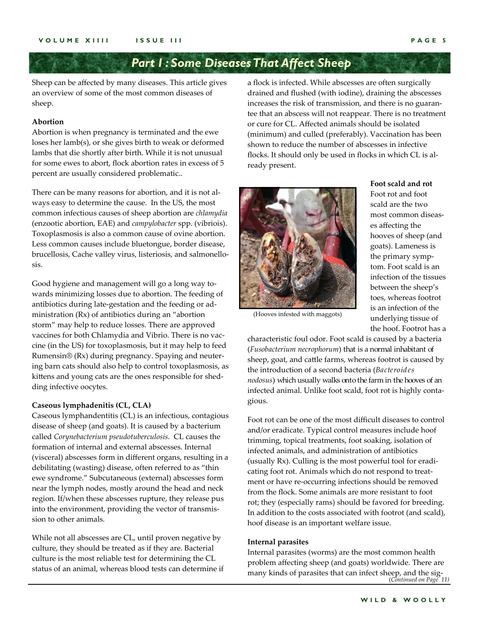### *Part I : Some Diseases That Affect Sheep*

Sheep can be affected by many diseases. This article gives an overview of some of the most common diseases of sheep.

#### **Abortion**

Abortion is when pregnancy is terminated and the ewe loses her lamb(s), or she gives birth to weak or deformed lambs that die shortly after birth. While it is not unusual for some ewes to abort, flock abortion rates in excess of 5 percent are usually considered problematic..

There can be many reasons for abortion, and it is not always easy to determine the cause. In the US, the most common infectious causes of sheep abortion are *chlamydia* (enzootic abortion, EAE) and *campylobacter* spp. (vibriois). Toxoplasmosis is also a common cause of ovine abortion. Less common causes include bluetongue, border disease, brucellosis, Cache valley virus, listeriosis, and salmonellosis.

Good hygiene and management will go a long way towards minimizing losses due to abortion. The feeding of antibiotics during late-gestation and the feeding or administration (Rx) of antibiotics during an "abortion storm" may help to reduce losses. There are approved vaccines for both Chlamydia and Vibrio. There is no vaccine (in the US) for toxoplasmosis, but it may help to feed Rumensin® (Rx) during pregnancy. Spaying and neutering barn cats should also help to control toxoplasmosis, as kittens and young cats are the ones responsible for shedding infective oocytes.

#### **Caseous lymphadenitis (CL, CLA)**

Caseous lymphandentitis (CL) is an infectious, contagious disease of sheep (and goats). It is caused by a bacterium called *Corynebacterium pseudotuberculosis*. CL causes the formation of internal and external abscesses. Internal (visceral) abscesses form in different organs, resulting in a debilitating (wasting) disease, often referred to as "thin ewe syndrome." Subcutaneous (external) abscesses form near the lymph nodes, mostly around the head and neck region. If/when these abscesses rupture, they release pus into the environment, providing the vector of transmission to other animals.

While not all abscesses are CL, until proven negative by culture, they should be treated as if they are. Bacterial culture is the most reliable test for determining the CL status of an animal, whereas blood tests can determine if a flock is infected. While abscesses are often surgically drained and flushed (with iodine), draining the abscesses increases the risk of transmission, and there is no guarantee that an abscess will not reappear. There is no treatment or cure for CL. Affected animals should be isolated (minimum) and culled (preferably). Vaccination has been shown to reduce the number of abscesses in infective flocks. It should only be used in flocks in which CL is already present.



(Hooves infested with maggots)

**Foot scald and rot** Foot rot and foot scald are the two most common diseases affecting the hooves of sheep (and goats). Lameness is the primary symptom. Foot scald is an infection of the tissues between the sheep's toes, whereas footrot is an infection of the underlying tissue of the hoof. Footrot has a

characteristic foul odor. Foot scald is caused by a bacteria (*Fusobacterium necrophorum*) that is a normal inhabitant of sheep, goat, and cattle farms, whereas footrot is caused by the introduction of a second bacteria (*Bacteroides nodosus*) which usually walks onto the farm in the hooves of an infected animal. Unlike foot scald, foot rot is highly contagious.

Foot rot can be one of the most difficult diseases to control and/or eradicate. Typical control measures include hoof trimming, topical treatments, foot soaking, isolation of infected animals, and administration of antibiotics (usually Rx). Culling is the most powerful tool for eradicating foot rot. Animals which do not respond to treatment or have re-occurring infections should be removed from the flock. Some animals are more resistant to foot rot; they (especially rams) should be favored for breeding. In addition to the costs associated with footrot (and scald), hoof disease is an important welfare issue.

#### **Internal parasites**

 (*Continued on Page 11)* many kinds of parasites that can infect sheep, and the sig- Internal parasites (worms) are the most common health problem affecting sheep (and goats) worldwide. There are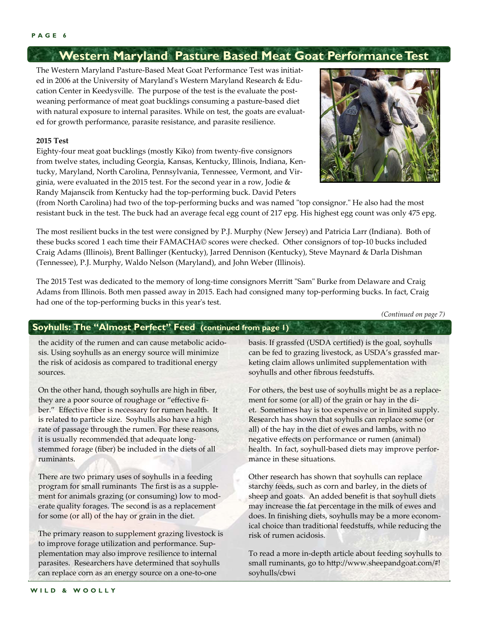### **Western Maryland Pasture Based Meat Goat Performance Test**

The Western Maryland Pasture-Based Meat Goat Performance Test was initiated in 2006 at the University of Marylandʹs Western Maryland Research & Education Center in Keedysville. The purpose of the test is the evaluate the postweaning performance of meat goat bucklings consuming a pasture-based diet with natural exposure to internal parasites. While on test, the goats are evaluated for growth performance, parasite resistance, and parasite resilience.

#### **2015 Test**

Eighty-four meat goat bucklings (mostly Kiko) from twenty-five consignors from twelve states, including Georgia, Kansas, Kentucky, Illinois, Indiana, Kentucky, Maryland, North Carolina, Pennsylvania, Tennessee, Vermont, and Virginia, were evaluated in the 2015 test. For the second year in a row, Jodie & Randy Majanscik from Kentucky had the top-performing buck. David Peters



(from North Carolina) had two of the top-performing bucks and was named "top consignor." He also had the most resistant buck in the test. The buck had an average fecal egg count of 217 epg. His highest egg count was only 475 epg.

The most resilient bucks in the test were consigned by P.J. Murphy (New Jersey) and Patricia Larr (Indiana). Both of these bucks scored 1 each time their FAMACHA© scores were checked. Other consignors of top-10 bucks included Craig Adams (Illinois), Brent Ballinger (Kentucky), Jarred Dennison (Kentucky), Steve Maynard & Darla Dishman (Tennessee), P.J. Murphy, Waldo Nelson (Maryland), and John Weber (Illinois).

The 2015 Test was dedicated to the memory of long-time consignors Merritt "Sam" Burke from Delaware and Craig Adams from Illinois. Both men passed away in 2015. Each had consigned many top-performing bucks. In fact, Craig had one of the top-performing bucks in this year's test.

*(Continued on page 7)* 

#### **Soyhulls: The "Almost Perfect" Feed (continued from page 1)**

the acidity of the rumen and can cause metabolic acidosis. Using soyhulls as an energy source will minimize the risk of acidosis as compared to traditional energy sources.

On the other hand, though soyhulls are high in fiber, they are a poor source of roughage or "effective fiber." Effective fiber is necessary for rumen health. It is related to particle size. Soyhulls also have a high rate of passage through the rumen. For these reasons, it is usually recommended that adequate longstemmed forage (fiber) be included in the diets of all ruminants.

There are two primary uses of soyhulls in a feeding program for small ruminants The first is as a supplement for animals grazing (or consuming) low to moderate quality forages. The second is as a replacement for some (or all) of the hay or grain in the diet.

The primary reason to supplement grazing livestock is to improve forage utilization and performance. Supplementation may also improve resilience to internal parasites. Researchers have determined that soyhulls can replace corn as an energy source on a one-to-one

basis. If grassfed (USDA certified) is the goal, soyhulls can be fed to grazing livestock, as USDA's grassfed marketing claim allows unlimited supplementation with soyhulls and other fibrous feedstuffs.

For others, the best use of soyhulls might be as a replacement for some (or all) of the grain or hay in the diet. Sometimes hay is too expensive or in limited supply. Research has shown that soyhulls can replace some (or all) of the hay in the diet of ewes and lambs, with no negative effects on performance or rumen (animal) health. In fact, soyhull-based diets may improve performance in these situations.

Other research has shown that soyhulls can replace starchy feeds, such as corn and barley, in the diets of sheep and goats. An added benefit is that soyhull diets may increase the fat percentage in the milk of ewes and does. In finishing diets, soyhulls may be a more economical choice than traditional feedstuffs, while reducing the risk of rumen acidosis.

To read a more in-depth article about feeding soyhulls to small ruminants, go to http://www.sheepandgoat.com/#! soyhulls/cbwi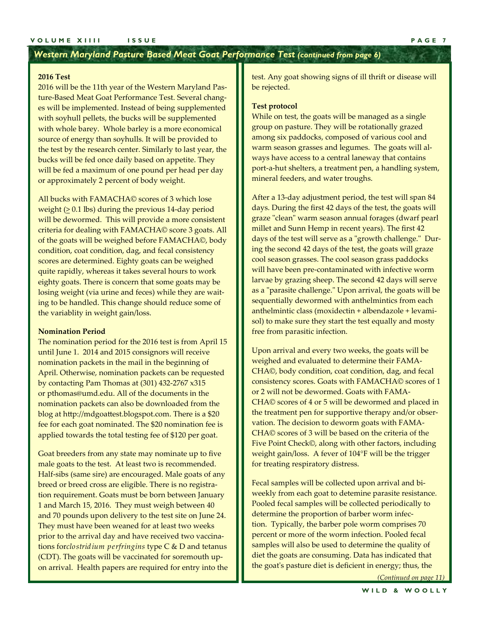#### *Western Maryland Pasture Based Meat Goat Performance Test (continued from page 6)*

#### **2016 Test**

2016 will be the 11th year of the Western Maryland Pasture-Based Meat Goat Performance Test. Several changes will be implemented. Instead of being supplemented with soyhull pellets, the bucks will be supplemented with whole barey. Whole barley is a more economical source of energy than soyhulls. It will be provided to the test by the research center. Similarly to last year, the bucks will be fed once daily based on appetite. They will be fed a maximum of one pound per head per day or approximately 2 percent of body weight.

All bucks with FAMACHA© scores of 3 which lose weight  $(>= 0.1$  lbs) during the previous 14-day period will be dewormed. This will provide a more consistent criteria for dealing with FAMACHA© score 3 goats. All of the goats will be weighed before FAMACHA©, body condition, coat condition, dag, and fecal consistency scores are determined. Eighty goats can be weighed quite rapidly, whereas it takes several hours to work eighty goats. There is concern that some goats may be losing weight (via urine and feces) while they are waiting to be handled. This change should reduce some of the variablity in weight gain/loss.

#### **Nomination Period**

The nomination period for the 2016 test is from April 15 until June 1. 2014 and 2015 consignors will receive nomination packets in the mail in the beginning of April. Otherwise, nomination packets can be requested by contacting Pam Thomas at (301) 432-2767 x315 or pthomas@umd.edu. All of the documents in the nomination packets can also be downloaded from the blog at http://mdgoattest.blogspot.com. There is a \$20 fee for each goat nominated. The \$20 nomination fee is applied towards the total testing fee of \$120 per goat.

Goat breeders from any state may nominate up to five male goats to the test. At least two is recommended. Half-sibs (same sire) are encouraged. Male goats of any breed or breed cross are eligible. There is no registration requirement. Goats must be born between January 1 and March 15, 2016. They must weigh between 40 and 70 pounds upon delivery to the test site on June 24. They must have been weaned for at least two weeks prior to the arrival day and have received two vaccinations for*clostridium perfringins* type C & D and tetanus (CDT). The goats will be vaccinated for soremouth upon arrival. Health papers are required for entry into the

test. Any goat showing signs of ill thrift or disease will be rejected.

#### **Test protocol**

While on test, the goats will be managed as a single group on pasture. They will be rotationally grazed among six paddocks, composed of various cool and warm season grasses and legumes. The goats will always have access to a central laneway that contains port-a-hut shelters, a treatment pen, a handling system, mineral feeders, and water troughs.

After a 13-day adjustment period, the test will span 84 days. During the first 42 days of the test, the goats will graze "clean" warm season annual forages (dwarf pearl millet and Sunn Hemp in recent years). The first 42 days of the test will serve as a "growth challenge." During the second 42 days of the test, the goats will graze cool season grasses. The cool season grass paddocks will have been pre-contaminated with infective worm larvae by grazing sheep. The second 42 days will serve as a "parasite challenge." Upon arrival, the goats will be sequentially dewormed with anthelmintics from each anthelmintic class (moxidectin + albendazole + levamisol) to make sure they start the test equally and mosty free from parasitic infection.

Upon arrival and every two weeks, the goats will be weighed and evaluated to determine their FAMA-CHA©, body condition, coat condition, dag, and fecal consistency scores. Goats with FAMACHA© scores of 1 or 2 will not be dewormed. Goats with FAMA-CHA© scores of 4 or 5 will be dewormed and placed in the treatment pen for supportive therapy and/or observation. The decision to deworm goats with FAMA-CHA© scores of 3 will be based on the criteria of the Five Point Check©, along with other factors, including weight gain/loss. A fever of 104°F will be the trigger for treating respiratory distress.

Fecal samples will be collected upon arrival and biweekly from each goat to detemine parasite resistance. Pooled fecal samples will be collected periodically to determine the proportion of barber worm infection. Typically, the barber pole worm comprises 70 percent or more of the worm infection. Pooled fecal samples will also be used to determine the quality of diet the goats are consuming. Data has indicated that the goatʹs pasture diet is deficient in energy; thus, the

*(Continued on page 11)*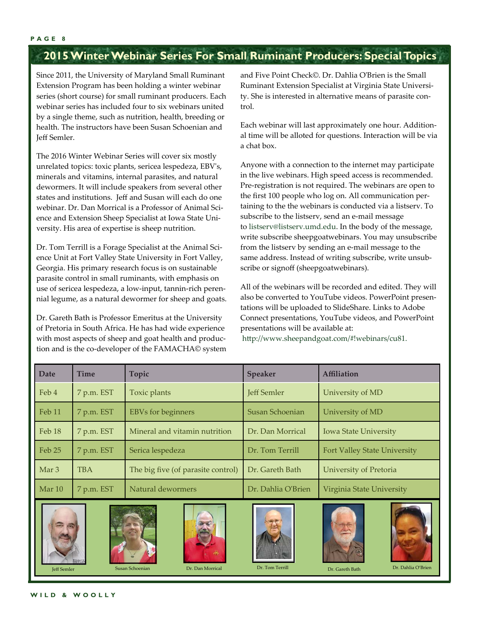### **2015 Winter Webinar Series For Small Ruminant Producers: Special Topics**

Since 2011, the University of Maryland Small Ruminant Extension Program has been holding a winter webinar series (short course) for small ruminant producers. Each webinar series has included four to six webinars united by a single theme, such as nutrition, health, breeding or health. The instructors have been Susan Schoenian and Jeff Semler.

The 2016 Winter Webinar Series will cover six mostly unrelated topics: toxic plants, sericea lespedeza, EBVʹs, minerals and vitamins, internal parasites, and natural dewormers. It will include speakers from several other states and institutions. Jeff and Susan will each do one webinar. Dr. Dan Morrical is a Professor of Animal Science and Extension Sheep Specialist at Iowa State University. His area of expertise is sheep nutrition.

Dr. Tom Terrill is a Forage Specialist at the Animal Science Unit at Fort Valley State University in Fort Valley, Georgia. His primary research focus is on sustainable parasite control in small ruminants, with emphasis on use of sericea lespedeza, a low-input, tannin-rich perennial legume, as a natural dewormer for sheep and goats.

Dr. Gareth Bath is Professor Emeritus at the University of Pretoria in South Africa. He has had wide experience with most aspects of sheep and goat health and production and is the co-developer of the FAMACHA© system

and Five Point Check©. Dr. Dahlia OʹBrien is the Small Ruminant Extension Specialist at Virginia State University. She is interested in alternative means of parasite control.

Each webinar will last approximately one hour. Additional time will be alloted for questions. Interaction will be via a chat box.

Anyone with a connection to the internet may participate in the live webinars. High speed access is recommended. Pre-registration is not required. The webinars are open to the first 100 people who log on. All communication pertaining to the the webinars is conducted via a listserv. To subscribe to the listserv, send an e-mail message to listserv@listserv.umd.edu. In the body of the message, write subscribe sheepgoatwebinars. You may unsubscribe from the listserv by sending an e-mail message to the same address. Instead of writing subscribe, write unsubscribe or signoff (sheepgoatwebinars).

All of the webinars will be recorded and edited. They will also be converted to YouTube videos. PowerPoint presentations will be uploaded to SlideShare. Links to Adobe Connect presentations, YouTube videos, and PowerPoint presentations will be available at:

http://www.sheepandgoat.com/#!webinars/cu81.

| <b>Date</b>      | <b>Time</b> | Topic                              | <b>Speaker</b>     | <b>Affiliation</b>                  |
|------------------|-------------|------------------------------------|--------------------|-------------------------------------|
| Feb 4            | 7 p.m. EST  | Toxic plants                       | <b>Jeff Semler</b> | University of MD                    |
| Feb 11           | 7 p.m. EST  | <b>EBVs</b> for beginners          | Susan Schoenian    | University of MD                    |
| Feb 18           | 7 p.m. EST  | Mineral and vitamin nutrition      | Dr. Dan Morrical   | <b>Iowa State University</b>        |
| Feb 25           | 7 p.m. EST  | Serica lespedeza                   | Dr. Tom Terrill    | <b>Fort Valley State University</b> |
| Mar <sub>3</sub> | <b>TBA</b>  | The big five (of parasite control) | Dr. Gareth Bath    | University of Pretoria              |
| Mar 10           | 7 p.m. EST  | Natural dewormers                  | Dr. Dahlia O'Brien | Virginia State University           |













Jeff Semler Susan Schoenian Dr. Dan Morrical Dr. Tom Terrill Dr. Gareth Bath Dr. Dahlia O'Brien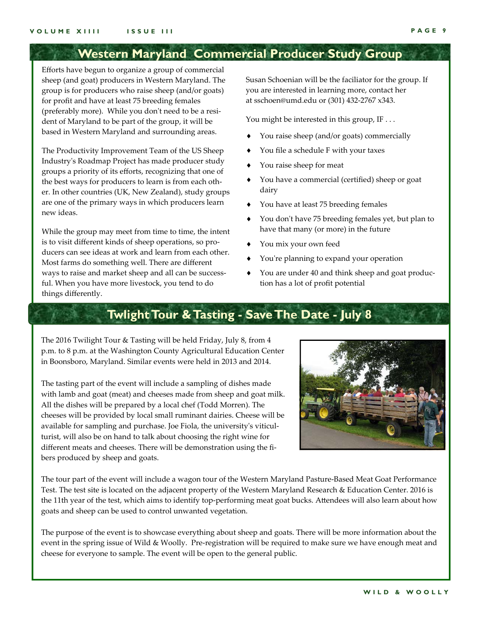### **Western Maryland Commercial Producer Study Group**

Efforts have begun to organize a group of commercial sheep (and goat) producers in Western Maryland. The group is for producers who raise sheep (and/or goats) for profit and have at least 75 breeding females (preferably more). While you don't need to be a resident of Maryland to be part of the group, it will be based in Western Maryland and surrounding areas.

The Productivity Improvement Team of the US Sheep Industryʹs Roadmap Project has made producer study groups a priority of its efforts, recognizing that one of the best ways for producers to learn is from each other. In other countries (UK, New Zealand), study groups are one of the primary ways in which producers learn new ideas.

While the group may meet from time to time, the intent is to visit different kinds of sheep operations, so producers can see ideas at work and learn from each other. Most farms do something well. There are different ways to raise and market sheep and all can be successful. When you have more livestock, you tend to do things differently.

Susan Schoenian will be the faciliator for the group. If you are interested in learning more, contact her at sschoen@umd.edu or (301) 432-2767 x343.

You might be interested in this group, IF . . .

- You raise sheep (and/or goats) commercially
- You file a schedule F with your taxes
- You raise sheep for meat
- You have a commercial (certified) sheep or goat dairy
- You have at least 75 breeding females
- You donʹt have 75 breeding females yet, but plan to have that many (or more) in the future
- You mix your own feed
- You're planning to expand your operation
- You are under 40 and think sheep and goat production has a lot of profit potential

### **Twlight Tour & Tasting - Save The Date - July 8**

The 2016 Twilight Tour & Tasting will be held Friday, July 8, from 4 p.m. to 8 p.m. at the Washington County Agricultural Education Center in Boonsboro, Maryland. Similar events were held in 2013 and 2014.

The tasting part of the event will include a sampling of dishes made with lamb and goat (meat) and cheeses made from sheep and goat milk. All the dishes will be prepared by a local chef (Todd Morren). The cheeses will be provided by local small ruminant dairies. Cheese will be available for sampling and purchase. Joe Fiola, the universityʹs viticulturist, will also be on hand to talk about choosing the right wine for different meats and cheeses. There will be demonstration using the fibers produced by sheep and goats.



The tour part of the event will include a wagon tour of the Western Maryland Pasture-Based Meat Goat Performance Test. The test site is located on the adjacent property of the Western Maryland Research & Education Center. 2016 is the 11th year of the test, which aims to identify top-performing meat goat bucks. Attendees will also learn about how goats and sheep can be used to control unwanted vegetation.

The purpose of the event is to showcase everything about sheep and goats. There will be more information about the event in the spring issue of Wild & Woolly. Pre-registration will be required to make sure we have enough meat and cheese for everyone to sample. The event will be open to the general public.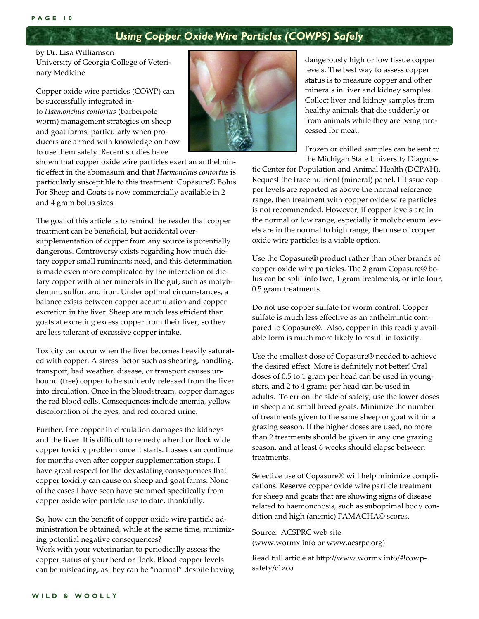#### **PAGE 10**

### *Using Copper Oxide Wire Particles (COWPS) Safely*

by Dr. Lisa Williamson University of Georgia College of Veterinary Medicine

Copper oxide wire particles (COWP) can be successfully integrated into *Haemonchus contortus* (barberpole worm) management strategies on sheep and goat farms, particularly when producers are armed with knowledge on how to use them safely. Recent studies have



shown that copper oxide wire particles exert an anthelmintic effect in the abomasum and that *Haemonchus contortus* is particularly susceptible to this treatment. Copasure® Bolus For Sheep and Goats is now commercially available in 2 and 4 gram bolus sizes.

The goal of this article is to remind the reader that copper treatment can be beneficial, but accidental oversupplementation of copper from any source is potentially dangerous. Controversy exists regarding how much dietary copper small ruminants need, and this determination is made even more complicated by the interaction of dietary copper with other minerals in the gut, such as molybdenum, sulfur, and iron. Under optimal circumstances, a balance exists between copper accumulation and copper excretion in the liver. Sheep are much less efficient than goats at excreting excess copper from their liver, so they are less tolerant of excessive copper intake.

Toxicity can occur when the liver becomes heavily saturated with copper. A stress factor such as shearing, handling, transport, bad weather, disease, or transport causes unbound (free) copper to be suddenly released from the liver into circulation. Once in the bloodstream, copper damages the red blood cells. Consequences include anemia, yellow discoloration of the eyes, and red colored urine.

Further, free copper in circulation damages the kidneys and the liver. It is difficult to remedy a herd or flock wide copper toxicity problem once it starts. Losses can continue for months even after copper supplementation stops. I have great respect for the devastating consequences that copper toxicity can cause on sheep and goat farms. None of the cases I have seen have stemmed specifically from copper oxide wire particle use to date, thankfully.

So, how can the benefit of copper oxide wire particle administration be obtained, while at the same time, minimizing potential negative consequences?

Work with your veterinarian to periodically assess the copper status of your herd or flock. Blood copper levels can be misleading, as they can be "normal" despite having dangerously high or low tissue copper levels. The best way to assess copper status is to measure copper and other minerals in liver and kidney samples. Collect liver and kidney samples from healthy animals that die suddenly or from animals while they are being processed for meat.

Frozen or chilled samples can be sent to the Michigan State University Diagnos-

tic Center for Population and Animal Health (DCPAH). Request the trace nutrient (mineral) panel. If tissue copper levels are reported as above the normal reference range, then treatment with copper oxide wire particles is not recommended. However, if copper levels are in the normal or low range, especially if molybdenum levels are in the normal to high range, then use of copper oxide wire particles is a viable option.

Use the Copasure® product rather than other brands of copper oxide wire particles. The 2 gram Copasure® bolus can be split into two, 1 gram treatments, or into four, 0.5 gram treatments.

Do not use copper sulfate for worm control. Copper sulfate is much less effective as an anthelmintic compared to Copasure®. Also, copper in this readily available form is much more likely to result in toxicity.

Use the smallest dose of Copasure® needed to achieve the desired effect. More is definitely not better! Oral doses of 0.5 to 1 gram per head can be used in youngsters, and 2 to 4 grams per head can be used in adults. To err on the side of safety, use the lower doses in sheep and small breed goats. Minimize the number of treatments given to the same sheep or goat within a grazing season. If the higher doses are used, no more than 2 treatments should be given in any one grazing season, and at least 6 weeks should elapse between treatments.

Selective use of Copasure® will help minimize complications. Reserve copper oxide wire particle treatment for sheep and goats that are showing signs of disease related to haemonchosis, such as suboptimal body condition and high (anemic) FAMACHA© scores.

Source: ACSPRC web site (www.wormx.info or www.acsrpc.org)

Read full article at http://www.wormx.info/#!cowpsafety/c1zco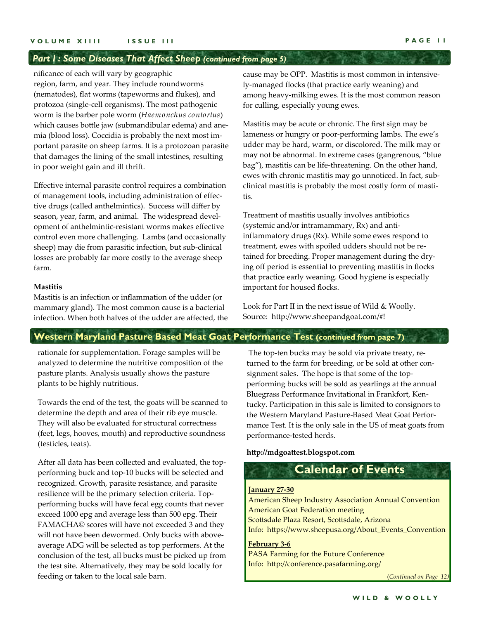#### *Part I : Some Diseases That Affect Sheep (continued from page 5)*

nificance of each will vary by geographic region, farm, and year. They include roundworms (nematodes), flat worms (tapeworms and flukes), and protozoa (single-cell organisms). The most pathogenic worm is the barber pole worm (*Haemonchus contortus*) which causes bottle jaw (submandibular edema) and anemia (blood loss). Coccidia is probably the next most important parasite on sheep farms. It is a protozoan parasite that damages the lining of the small intestines, resulting in poor weight gain and ill thrift.

Effective internal parasite control requires a combination of management tools, including administration of effective drugs (called anthelmintics). Success will differ by season, year, farm, and animal. The widespread development of anthelmintic-resistant worms makes effective control even more challenging. Lambs (and occasionally sheep) may die from parasitic infection, but sub-clinical losses are probably far more costly to the average sheep farm.

#### **Mastitis**

Mastitis is an infection or inflammation of the udder (or mammary gland). The most common cause is a bacterial infection. When both halves of the udder are affected, the cause may be OPP. Mastitis is most common in intensively-managed flocks (that practice early weaning) and among heavy-milking ewes. It is the most common reason for culling, especially young ewes.

Mastitis may be acute or chronic. The first sign may be lameness or hungry or poor-performing lambs. The ewe's udder may be hard, warm, or discolored. The milk may or may not be abnormal. In extreme cases (gangrenous, "blue bag"), mastitis can be life-threatening. On the other hand, ewes with chronic mastitis may go unnoticed. In fact, subclinical mastitis is probably the most costly form of mastitis.

Treatment of mastitis usually involves antibiotics (systemic and/or intramammary, Rx) and antiinflammatory drugs (Rx). While some ewes respond to treatment, ewes with spoiled udders should not be retained for breeding. Proper management during the drying off period is essential to preventing mastitis in flocks that practice early weaning. Good hygiene is especially important for housed flocks.

Look for Part II in the next issue of Wild & Woolly. Source: http://www.sheepandgoat.com/#!

#### **Western Maryland Pasture Based Meat Goat Performance Test (continued from page 7)**

rationale for supplementation. Forage samples will be analyzed to determine the nutritive composition of the pasture plants. Analysis usually shows the pasture plants to be highly nutritious.

Towards the end of the test, the goats will be scanned to determine the depth and area of their rib eye muscle. They will also be evaluated for structural correctness (feet, legs, hooves, mouth) and reproductive soundness (testicles, teats).

After all data has been collected and evaluated, the topperforming buck and top-10 bucks will be selected and recognized. Growth, parasite resistance, and parasite resilience will be the primary selection criteria. Topperforming bucks will have fecal egg counts that never exceed 1000 epg and average less than 500 epg. Their FAMACHA© scores will have not exceeded 3 and they will not have been dewormed. Only bucks with aboveaverage ADG will be selected as top performers. At the conclusion of the test, all bucks must be picked up from the test site. Alternatively, they may be sold locally for feeding or taken to the local sale barn.

The top-ten bucks may be sold via private treaty, returned to the farm for breeding, or be sold at other consignment sales. The hope is that some of the topperforming bucks will be sold as yearlings at the annual Bluegrass Performance Invitational in Frankfort, Kentucky. Participation in this sale is limited to consignors to the Western Maryland Pasture-Based Meat Goat Performance Test. It is the only sale in the US of meat goats from performance-tested herds.

**http://mdgoattest.blogspot.com**

### **Calendar of Events**

#### **January 27‐30**

American Sheep Industry Association Annual Convention American Goat Federation meeting Scottsdale Plaza Resort, Scottsdale, Arizona Info: https://www.sheepusa.org/About\_Events\_Convention

#### **February 3‐6**

PASA Farming for the Future Conference Info: http://conference.pasafarming.org/

(*Continued on Page 12)*